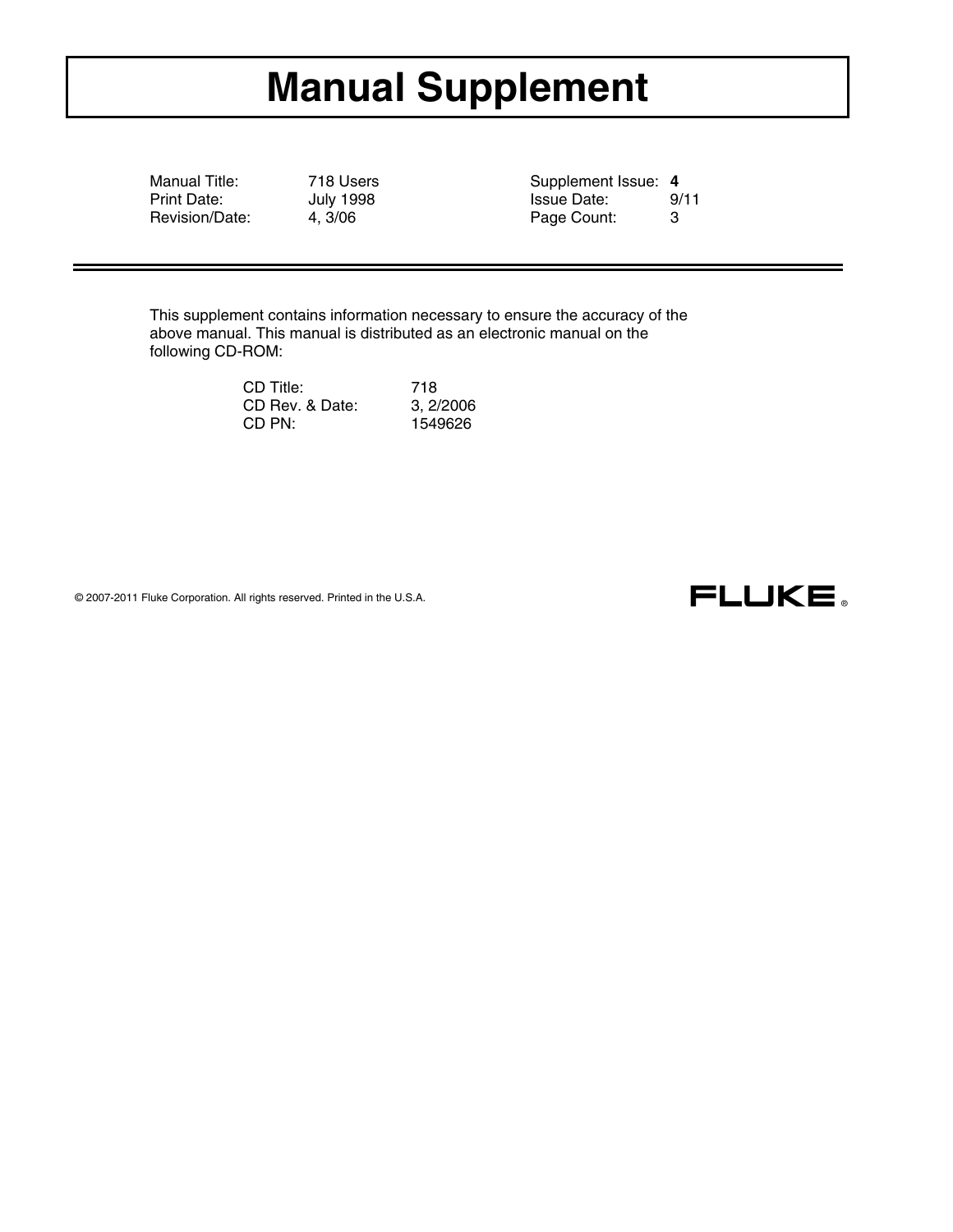# **Manual Supplement**

Manual Title: 718 Users Supplement Issue: 4<br>Print Date: 1. July 1998 Supplement Issue: 4<br>Supplement Issue Date: 9, Revision/Date: 4, 3/06 Page Count: 3

Print Date: July 1998 Issue Date: 9/11

This supplement contains information necessary to ensure the accuracy of the above manual. This manual is distributed as an electronic manual on the following CD-ROM:

| CD Title:       | 718       |
|-----------------|-----------|
| CD Rev. & Date: | 3, 2/2006 |
| CD PN:          | 1549626   |

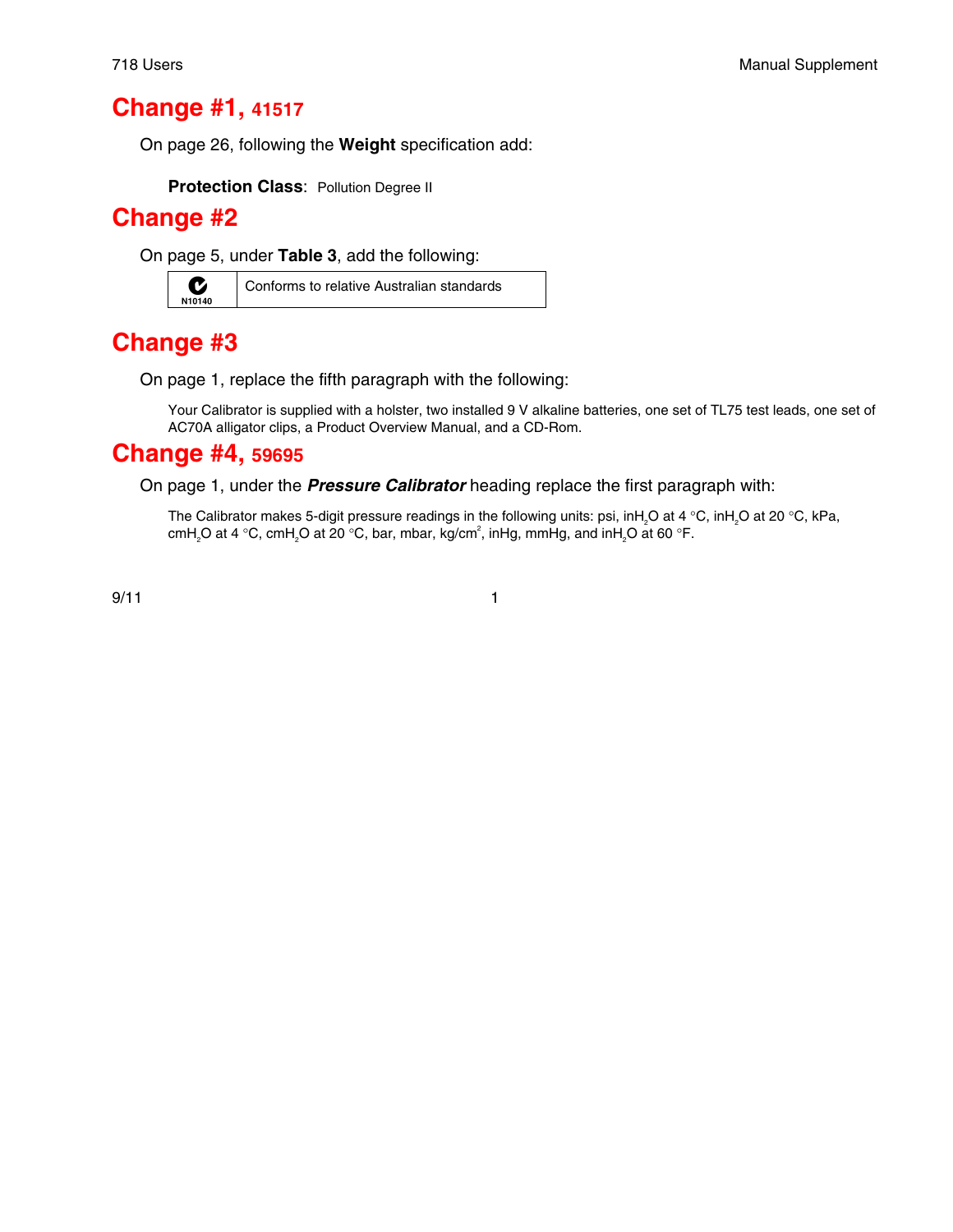#### **Change #1, 41517**

On page 26, following the **Weight** specification add:

**Protection Class: Pollution Degree II** 

#### **Change #2**

On page 5, under **Table 3**, add the following:



 $\sum_{\text{N10140}}$  Conforms to relative Australian standards

### **Change #3**

On page 1, replace the fifth paragraph with the following:

Your Calibrator is supplied with a holster, two installed 9 V alkaline batteries, one set of TL75 test leads, one set of AC70A alligator clips, a Product Overview Manual, and a CD-Rom.

#### **Change #4, 59695**

On page 1, under the *Pressure Calibrator* heading replace the first paragraph with:

The Calibrator makes 5-digit pressure readings in the following units: psi, inH<sub>2</sub>O at 4 °C, inH<sub>2</sub>O at 20 °C, kPa, cmH<sub>2</sub>O at 4 °C, cmH<sub>2</sub>O at 20 °C, bar, mbar, kg/cm<sup>2</sup>, inHg, mmHg, and inH<sub>2</sub>O at 60 °F.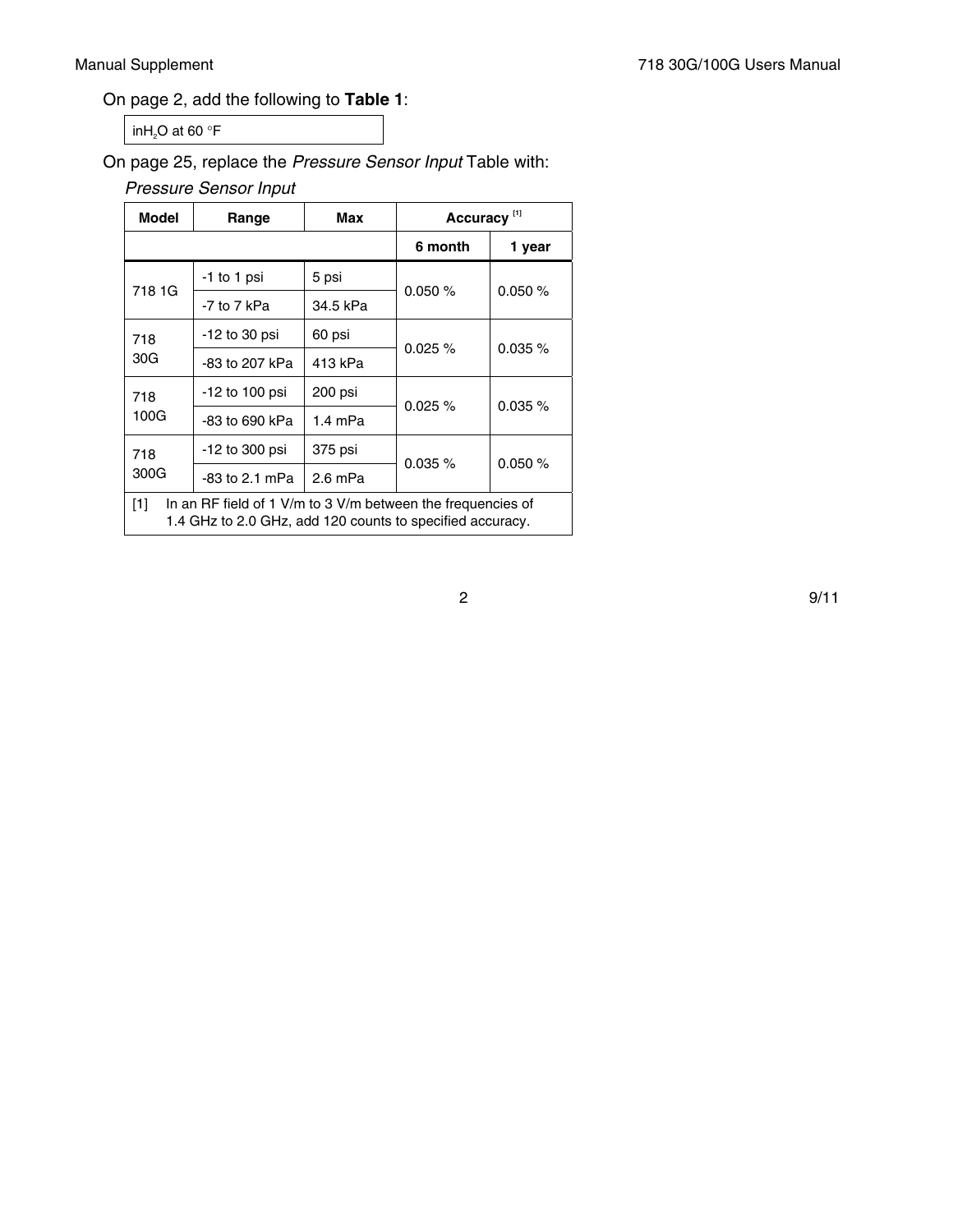#### On page 2, add the following to **Table 1**:

in $H_2O$  at 60 °F

On page 25, replace the *Pressure Sensor Input* Table with:

*Pressure Sensor Input*

| <b>Model</b>                                                                                                                    | Range          | Max       | Accuracy <sup>[1]</sup> |            |
|---------------------------------------------------------------------------------------------------------------------------------|----------------|-----------|-------------------------|------------|
|                                                                                                                                 |                |           | 6 month                 | 1 year     |
| 718 1G                                                                                                                          | -1 to 1 psi    | 5 psi     |                         | 0.050%     |
|                                                                                                                                 | -7 to 7 kPa    | 34.5 kPa  | 0.050%                  |            |
| 718<br>30G                                                                                                                      | -12 to 30 psi  | 60 psi    | $0.025 \%$              | $0.035 \%$ |
|                                                                                                                                 | -83 to 207 kPa | 413 kPa   |                         |            |
| 718<br>100G                                                                                                                     | -12 to 100 psi | 200 psi   | 0.025%                  | $0.035 \%$ |
|                                                                                                                                 | -83 to 690 kPa | $1.4$ mPa |                         |            |
| 718<br>300G                                                                                                                     | -12 to 300 psi | 375 psi   |                         |            |
|                                                                                                                                 | -83 to 2.1 mPa | $2.6$ mPa | 0.035%                  | 0.050%     |
| [1]<br>In an RF field of 1 V/m to 3 V/m between the frequencies of<br>1.4 GHz to 2.0 GHz, add 120 counts to specified accuracy. |                |           |                         |            |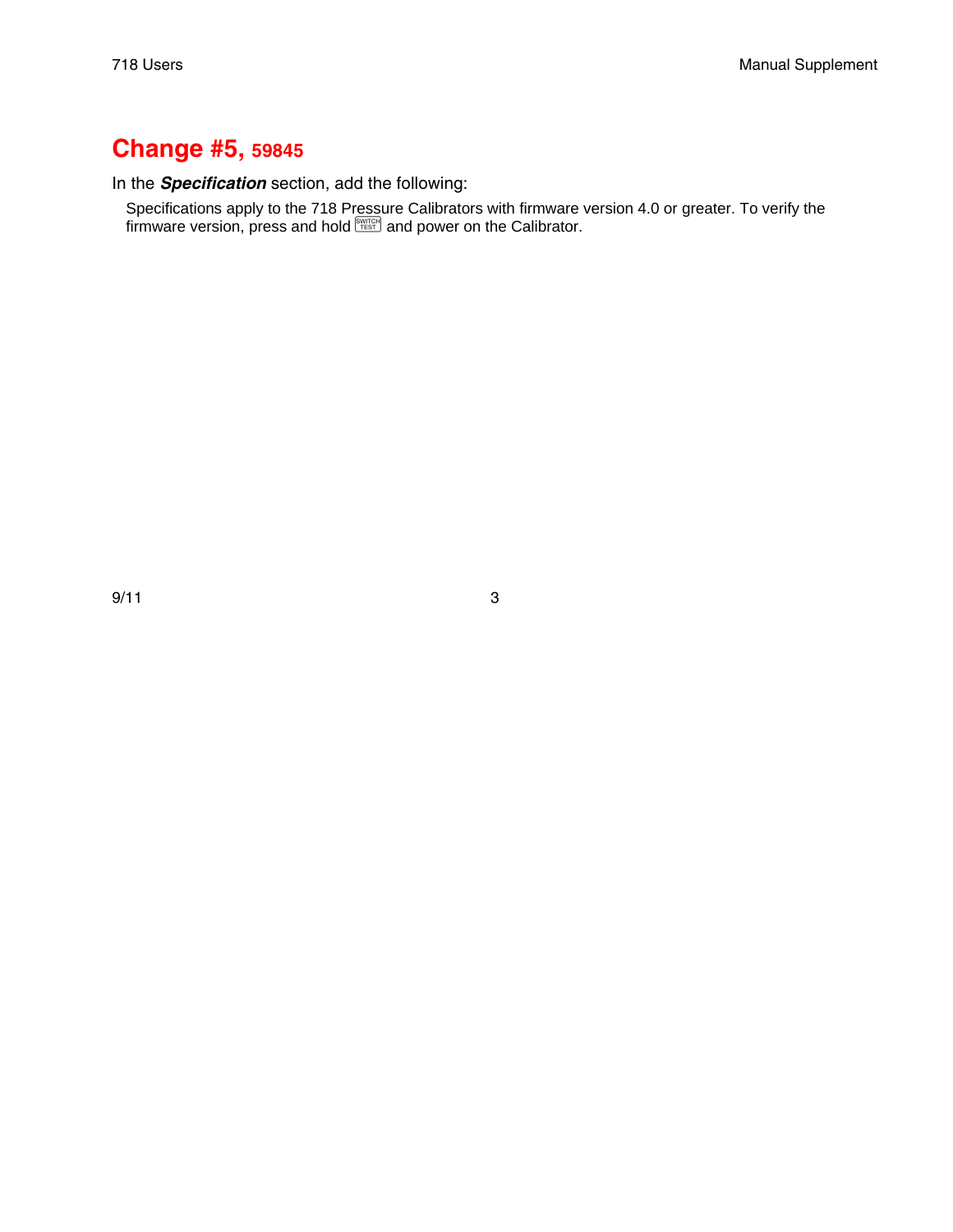#### **Change #5, 59845**

In the *Specification* section, add the following:

Specifications apply to the 718 Pressure Calibrators with firmware version 4.0 or greater. To verify the  $f$  firmware version, press and hold  $\frac{f}{f}$  and power on the Calibrator.